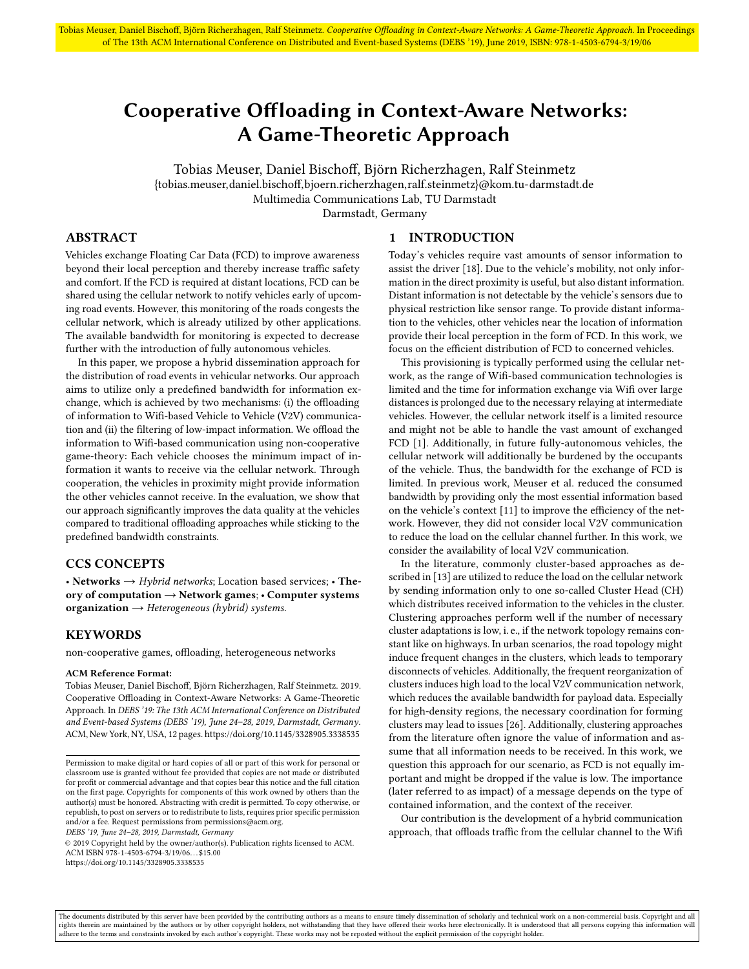# <span id="page-0-0"></span>Cooperative Offloading in Context-Aware Networks: A Game-Theoretic Approach

Tobias Meuser, Daniel Bischoff, Björn Richerzhagen, Ralf Steinmetz {tobias.meuser,daniel.bischoff,bjoern.richerzhagen,ralf.steinmetz}@kom.tu-darmstadt.de Multimedia Communications Lab, TU Darmstadt Darmstadt, Germany

# ABSTRACT

Vehicles exchange Floating Car Data (FCD) to improve awareness beyond their local perception and thereby increase traffic safety and comfort. If the FCD is required at distant locations, FCD can be shared using the cellular network to notify vehicles early of upcoming road events. However, this monitoring of the roads congests the cellular network, which is already utilized by other applications. The available bandwidth for monitoring is expected to decrease further with the introduction of fully autonomous vehicles.

In this paper, we propose a hybrid dissemination approach for the distribution of road events in vehicular networks. Our approach aims to utilize only a predefined bandwidth for information exchange, which is achieved by two mechanisms: (i) the offloading of information to Wifi-based Vehicle to Vehicle (V2V) communication and (ii) the filtering of low-impact information. We offload the information to Wifi-based communication using non-cooperative game-theory: Each vehicle chooses the minimum impact of information it wants to receive via the cellular network. Through cooperation, the vehicles in proximity might provide information the other vehicles cannot receive. In the evaluation, we show that our approach significantly improves the data quality at the vehicles compared to traditional offloading approaches while sticking to the predefined bandwidth constraints.

# CCS CONCEPTS

• Networks  $\rightarrow$  Hybrid networks; Location based services; • Theory of computation → Network games; • Computer systems organization  $\rightarrow$  Heterogeneous (hybrid) systems.

### **KEYWORDS**

non-cooperative games, offloading, heterogeneous networks

#### ACM Reference Format:

Tobias Meuser, Daniel Bischoff, Björn Richerzhagen, Ralf Steinmetz. 2019. Cooperative Offloading in Context-Aware Networks: A Game-Theoretic Approach. In DEBS '19: The 13th ACM International Conference on Distributed and Event-based Systems (DEBS '19), June 24–28, 2019, Darmstadt, Germany. ACM, New York, NY, USA, [12](#page-11-0) pages.<https://doi.org/10.1145/3328905.3338535>

DEBS '19, June 24–28, 2019, Darmstadt, Germany

© 2019 Copyright held by the owner/author(s). Publication rights licensed to ACM. ACM ISBN 978-1-4503-6794-3/19/06. . . \$15.00 <https://doi.org/10.1145/3328905.3338535>

### 1 INTRODUCTION

Today's vehicles require vast amounts of sensor information to assist the driver [\[18\]](#page-11-1). Due to the vehicle's mobility, not only information in the direct proximity is useful, but also distant information. Distant information is not detectable by the vehicle's sensors due to physical restriction like sensor range. To provide distant information to the vehicles, other vehicles near the location of information provide their local perception in the form of FCD. In this work, we focus on the efficient distribution of FCD to concerned vehicles.

This provisioning is typically performed using the cellular network, as the range of Wifi-based communication technologies is limited and the time for information exchange via Wifi over large distances is prolonged due to the necessary relaying at intermediate vehicles. However, the cellular network itself is a limited resource and might not be able to handle the vast amount of exchanged FCD [\[1\]](#page-11-2). Additionally, in future fully-autonomous vehicles, the cellular network will additionally be burdened by the occupants of the vehicle. Thus, the bandwidth for the exchange of FCD is limited. In previous work, Meuser et al. reduced the consumed bandwidth by providing only the most essential information based on the vehicle's context [\[11\]](#page-11-3) to improve the efficiency of the network. However, they did not consider local V2V communication to reduce the load on the cellular channel further. In this work, we consider the availability of local V2V communication.

In the literature, commonly cluster-based approaches as described in [\[13\]](#page-11-4) are utilized to reduce the load on the cellular network by sending information only to one so-called Cluster Head (CH) which distributes received information to the vehicles in the cluster. Clustering approaches perform well if the number of necessary cluster adaptations is low, i. e., if the network topology remains constant like on highways. In urban scenarios, the road topology might induce frequent changes in the clusters, which leads to temporary disconnects of vehicles. Additionally, the frequent reorganization of clusters induces high load to the local V2V communication network, which reduces the available bandwidth for payload data. Especially for high-density regions, the necessary coordination for forming clusters may lead to issues [\[26\]](#page-11-5). Additionally, clustering approaches from the literature often ignore the value of information and assume that all information needs to be received. In this work, we question this approach for our scenario, as FCD is not equally important and might be dropped if the value is low. The importance (later referred to as impact) of a message depends on the type of contained information, and the context of the receiver.

Our contribution is the development of a hybrid communication approach, that offloads traffic from the cellular channel to the Wifi

The documents distributed by this server have been provided by the contributing authors as a means to ensure timely dissemination of scholarly and technical work on a non-commercial basis. Copyright and all rights therein are maintained by the authors or by other copyright holders, not withstanding that they have offered their works here electronically. It is understood that all persons copying this information will<br>adhere to

Permission to make digital or hard copies of all or part of this work for personal or classroom use is granted without fee provided that copies are not made or distributed for profit or commercial advantage and that copies bear this notice and the full citation on the first page. Copyrights for components of this work owned by others than the author(s) must be honored. Abstracting with credit is permitted. To copy otherwise, or republish, to post on servers or to redistribute to lists, requires prior specific permission and/or a fee. Request permissions from permissions@acm.org.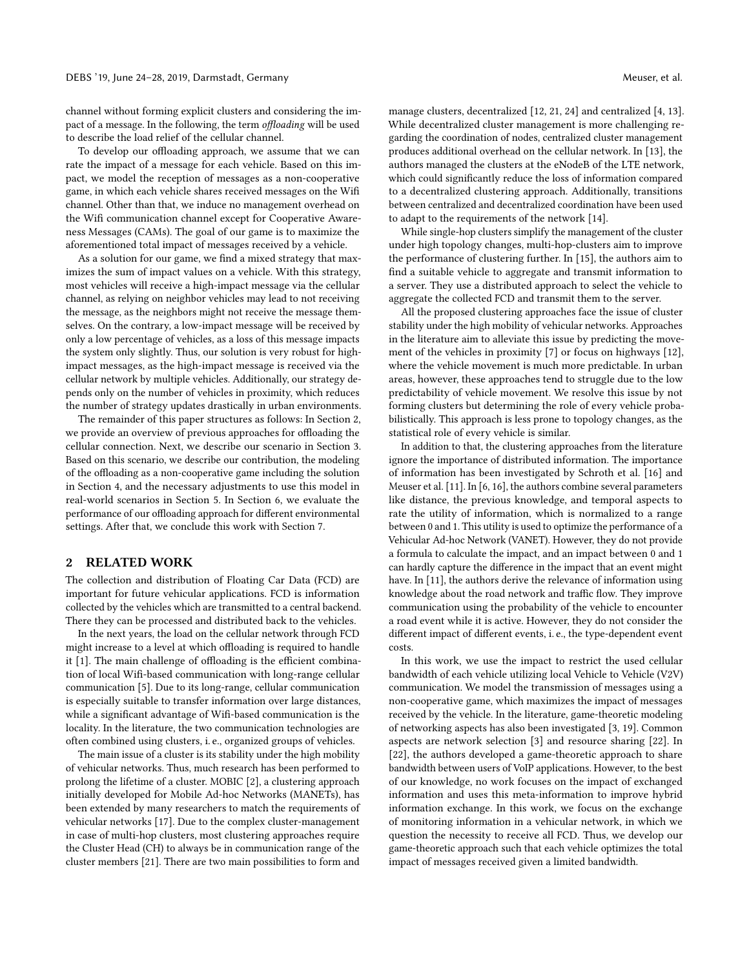channel without forming explicit clusters and considering the impact of a message. In the following, the term offloading will be used to describe the load relief of the cellular channel.

To develop our offloading approach, we assume that we can rate the impact of a message for each vehicle. Based on this impact, we model the reception of messages as a non-cooperative game, in which each vehicle shares received messages on the Wifi channel. Other than that, we induce no management overhead on the Wifi communication channel except for [Cooperative Aware](#page-0-0)[ness Messages \(CAMs\).](#page-0-0) The goal of our game is to maximize the aforementioned total impact of messages received by a vehicle.

As a solution for our game, we find a mixed strategy that maximizes the sum of impact values on a vehicle. With this strategy, most vehicles will receive a high-impact message via the cellular channel, as relying on neighbor vehicles may lead to not receiving the message, as the neighbors might not receive the message themselves. On the contrary, a low-impact message will be received by only a low percentage of vehicles, as a loss of this message impacts the system only slightly. Thus, our solution is very robust for highimpact messages, as the high-impact message is received via the cellular network by multiple vehicles. Additionally, our strategy depends only on the number of vehicles in proximity, which reduces the number of strategy updates drastically in urban environments.

The remainder of this paper structures as follows: In [Section 2,](#page-1-0) we provide an overview of previous approaches for offloading the cellular connection. Next, we describe our scenario in [Section 3.](#page-2-0) Based on this scenario, we describe our contribution, the modeling of the offloading as a non-cooperative game including the solution in [Section 4,](#page-3-0) and the necessary adjustments to use this model in real-world scenarios in [Section 5.](#page-6-0) In [Section 6,](#page-8-0) we evaluate the performance of our offloading approach for different environmental settings. After that, we conclude this work with [Section 7.](#page-11-6)

# <span id="page-1-0"></span>2 RELATED WORK

The collection and distribution of [Floating Car Data \(FCD\)](#page-0-0) are important for future vehicular applications. [FCD](#page-0-0) is information collected by the vehicles which are transmitted to a central backend. There they can be processed and distributed back to the vehicles.

In the next years, the load on the cellular network through [FCD](#page-0-0) might increase to a level at which offloading is required to handle it [\[1\]](#page-11-2). The main challenge of offloading is the efficient combination of local Wifi-based communication with long-range cellular communication [\[5\]](#page-11-7). Due to its long-range, cellular communication is especially suitable to transfer information over large distances, while a significant advantage of Wifi-based communication is the locality. In the literature, the two communication technologies are often combined using clusters, i. e., organized groups of vehicles.

The main issue of a cluster is its stability under the high mobility of vehicular networks. Thus, much research has been performed to prolong the lifetime of a cluster. MOBIC [\[2\]](#page-11-8), a clustering approach initially developed for [Mobile Ad-hoc Networks \(MANETs\),](#page-0-0) has been extended by many researchers to match the requirements of vehicular networks [\[17\]](#page-11-9). Due to the complex cluster-management in case of multi-hop clusters, most clustering approaches require the [Cluster Head \(CH\)](#page-0-0) to always be in communication range of the cluster members [\[21\]](#page-11-10). There are two main possibilities to form and

manage clusters, decentralized [\[12,](#page-11-11) [21,](#page-11-10) [24\]](#page-11-12) and centralized [\[4,](#page-11-13) [13\]](#page-11-4). While decentralized cluster management is more challenging regarding the coordination of nodes, centralized cluster management produces additional overhead on the cellular network. In [\[13\]](#page-11-4), the authors managed the clusters at the eNodeB of the LTE network, which could significantly reduce the loss of information compared to a decentralized clustering approach. Additionally, transitions between centralized and decentralized coordination have been used to adapt to the requirements of the network [\[14\]](#page-11-14).

While single-hop clusters simplify the management of the cluster under high topology changes, multi-hop-clusters aim to improve the performance of clustering further. In [\[15\]](#page-11-15), the authors aim to find a suitable vehicle to aggregate and transmit information to a server. They use a distributed approach to select the vehicle to aggregate the collected [FCD](#page-0-0) and transmit them to the server.

All the proposed clustering approaches face the issue of cluster stability under the high mobility of vehicular networks. Approaches in the literature aim to alleviate this issue by predicting the movement of the vehicles in proximity [\[7\]](#page-11-16) or focus on highways [\[12\]](#page-11-11), where the vehicle movement is much more predictable. In urban areas, however, these approaches tend to struggle due to the low predictability of vehicle movement. We resolve this issue by not forming clusters but determining the role of every vehicle probabilistically. This approach is less prone to topology changes, as the statistical role of every vehicle is similar.

In addition to that, the clustering approaches from the literature ignore the importance of distributed information. The importance of information has been investigated by Schroth et al. [\[16\]](#page-11-17) and Meuser et al. [\[11\]](#page-11-3). In [\[6,](#page-11-18) [16\]](#page-11-17), the authors combine several parameters like distance, the previous knowledge, and temporal aspects to rate the utility of information, which is normalized to a range between 0 and 1. This utility is used to optimize the performance of a [Vehicular Ad-hoc Network \(VANET\).](#page-0-0) However, they do not provide a formula to calculate the impact, and an impact between 0 and 1 can hardly capture the difference in the impact that an event might have. In [\[11\]](#page-11-3), the authors derive the relevance of information using knowledge about the road network and traffic flow. They improve communication using the probability of the vehicle to encounter a road event while it is active. However, they do not consider the different impact of different events, i. e., the type-dependent event costs.

In this work, we use the impact to restrict the used cellular bandwidth of each vehicle utilizing local [Vehicle to Vehicle \(V2V\)](#page-0-0) communication. We model the transmission of messages using a non-cooperative game, which maximizes the impact of messages received by the vehicle. In the literature, game-theoretic modeling of networking aspects has also been investigated [\[3,](#page-11-19) [19\]](#page-11-20). Common aspects are network selection [\[3\]](#page-11-19) and resource sharing [\[22\]](#page-11-21). In [\[22\]](#page-11-21), the authors developed a game-theoretic approach to share bandwidth between users of VoIP applications. However, to the best of our knowledge, no work focuses on the impact of exchanged information and uses this meta-information to improve hybrid information exchange. In this work, we focus on the exchange of monitoring information in a vehicular network, in which we question the necessity to receive all [FCD.](#page-0-0) Thus, we develop our game-theoretic approach such that each vehicle optimizes the total impact of messages received given a limited bandwidth.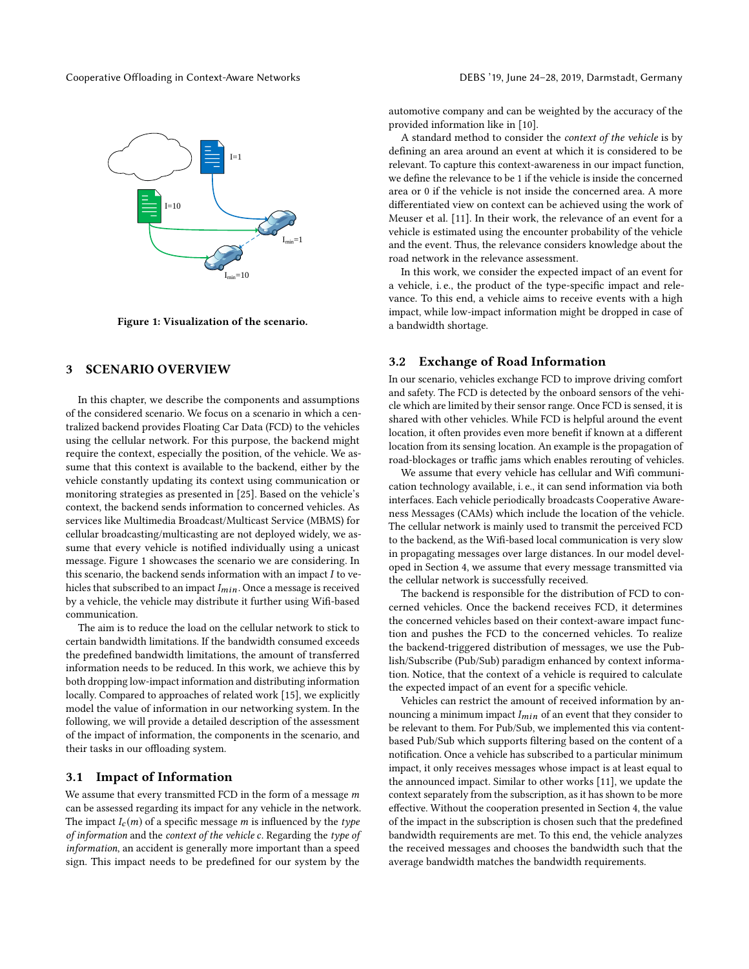<span id="page-2-1"></span>

Figure 1: Visualization of the scenario.

# <span id="page-2-0"></span>3 SCENARIO OVERVIEW

In this chapter, we describe the components and assumptions of the considered scenario. We focus on a scenario in which a centralized backend provides [Floating Car Data \(FCD\)](#page-0-0) to the vehicles using the cellular network. For this purpose, the backend might require the context, especially the position, of the vehicle. We assume that this context is available to the backend, either by the vehicle constantly updating its context using communication or monitoring strategies as presented in [\[25\]](#page-11-22). Based on the vehicle's context, the backend sends information to concerned vehicles. As services like [Multimedia Broadcast/Multicast Service \(MBMS\)](#page-0-0) for cellular broadcasting/multicasting are not deployed widely, we assume that every vehicle is notified individually using a unicast message. [Figure 1](#page-2-1) showcases the scenario we are considering. In this scenario, the backend sends information with an impact  $I$  to vehicles that subscribed to an impact  $I_{min}$ . Once a message is received by a vehicle, the vehicle may distribute it further using Wifi-based communication.

The aim is to reduce the load on the cellular network to stick to certain bandwidth limitations. If the bandwidth consumed exceeds the predefined bandwidth limitations, the amount of transferred information needs to be reduced. In this work, we achieve this by both dropping low-impact information and distributing information locally. Compared to approaches of related work [\[15\]](#page-11-15), we explicitly model the value of information in our networking system. In the following, we will provide a detailed description of the assessment of the impact of information, the components in the scenario, and their tasks in our offloading system.

### 3.1 Impact of Information

We assume that every transmitted [FCD](#page-0-0) in the form of a message  $m$ can be assessed regarding its impact for any vehicle in the network. The impact  $I_c(m)$  of a specific message m is influenced by the type of information and the context of the vehicle c. Regarding the type of information, an accident is generally more important than a speed sign. This impact needs to be predefined for our system by the

automotive company and can be weighted by the accuracy of the provided information like in [\[10\]](#page-11-23).

A standard method to consider the context of the vehicle is by defining an area around an event at which it is considered to be relevant. To capture this context-awareness in our impact function, we define the relevance to be 1 if the vehicle is inside the concerned area or 0 if the vehicle is not inside the concerned area. A more differentiated view on context can be achieved using the work of Meuser et al. [\[11\]](#page-11-3). In their work, the relevance of an event for a vehicle is estimated using the encounter probability of the vehicle and the event. Thus, the relevance considers knowledge about the road network in the relevance assessment.

In this work, we consider the expected impact of an event for a vehicle, i. e., the product of the type-specific impact and relevance. To this end, a vehicle aims to receive events with a high impact, while low-impact information might be dropped in case of a bandwidth shortage.

# 3.2 Exchange of Road Information

In our scenario, vehicles exchange [FCD](#page-0-0) to improve driving comfort and safety. The [FCD](#page-0-0) is detected by the onboard sensors of the vehicle which are limited by their sensor range. Once [FCD](#page-0-0) is sensed, it is shared with other vehicles. While [FCD](#page-0-0) is helpful around the event location, it often provides even more benefit if known at a different location from its sensing location. An example is the propagation of road-blockages or traffic jams which enables rerouting of vehicles.

We assume that every vehicle has cellular and Wifi communication technology available, i. e., it can send information via both interfaces. Each vehicle periodically broadcasts [Cooperative Aware](#page-0-0)[ness Messages \(CAMs\)](#page-0-0) which include the location of the vehicle. The cellular network is mainly used to transmit the perceived [FCD](#page-0-0) to the backend, as the Wifi-based local communication is very slow in propagating messages over large distances. In our model developed in [Section 4,](#page-3-0) we assume that every message transmitted via the cellular network is successfully received.

The backend is responsible for the distribution of [FCD](#page-0-0) to concerned vehicles. Once the backend receives [FCD,](#page-0-0) it determines the concerned vehicles based on their context-aware impact function and pushes the [FCD](#page-0-0) to the concerned vehicles. To realize the backend-triggered distribution of messages, we use the [Pub](#page-0-0)[lish/Subscribe \(Pub/Sub\)](#page-0-0) paradigm enhanced by context information. Notice, that the context of a vehicle is required to calculate the expected impact of an event for a specific vehicle.

Vehicles can restrict the amount of received information by announcing a minimum impact  $I_{min}$  of an event that they consider to be relevant to them. For [Pub/Sub,](#page-0-0) we implemented this via contentbased [Pub/Sub](#page-0-0) which supports filtering based on the content of a notification. Once a vehicle has subscribed to a particular minimum impact, it only receives messages whose impact is at least equal to the announced impact. Similar to other works [\[11\]](#page-11-3), we update the context separately from the subscription, as it has shown to be more effective. Without the cooperation presented in [Section 4,](#page-3-0) the value of the impact in the subscription is chosen such that the predefined bandwidth requirements are met. To this end, the vehicle analyzes the received messages and chooses the bandwidth such that the average bandwidth matches the bandwidth requirements.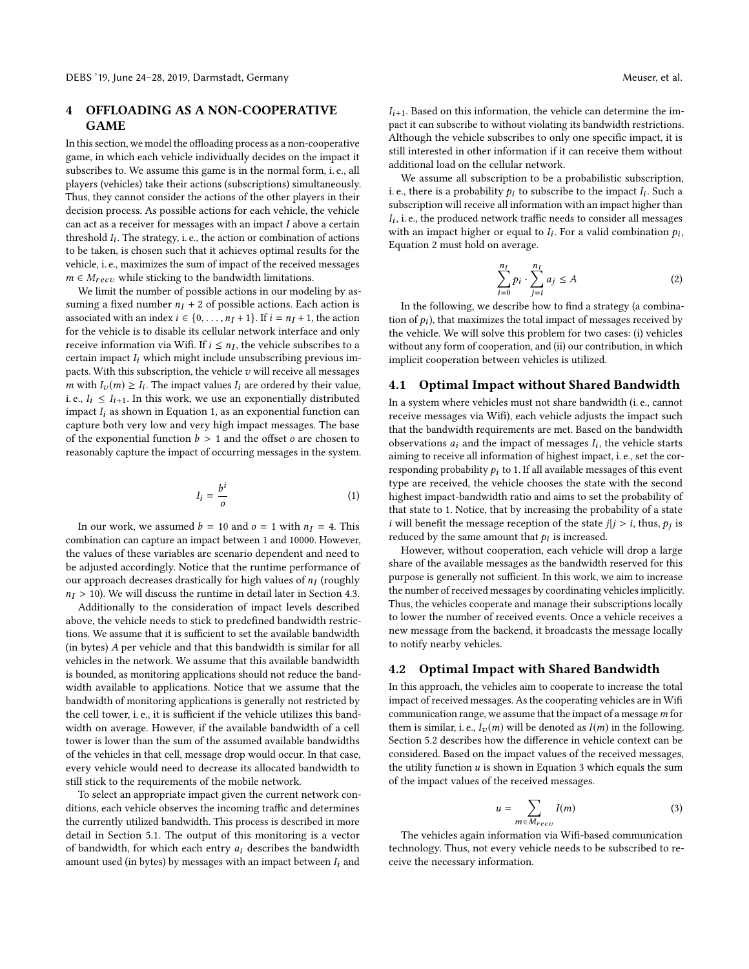# <span id="page-3-0"></span>4 OFFLOADING AS A NON-COOPERATIVE **GAME**

In this section, we model the offloading process as a non-cooperative game, in which each vehicle individually decides on the impact it subscribes to. We assume this game is in the normal form, i. e., all players (vehicles) take their actions (subscriptions) simultaneously. Thus, they cannot consider the actions of the other players in their decision process. As possible actions for each vehicle, the vehicle can act as a receiver for messages with an impact  $I$  above a certain threshold  $I_i$ . The strategy, i. e., the action or combination of actions to be taken is chosen such that it achieves optimal results for the to be taken, is chosen such that it achieves optimal results for the vehicle, i. e., maximizes the sum of impact of the received messages  $m \in M_{recv}$  while sticking to the bandwidth limitations.

We limit the number of possible actions in our modeling by assuming a fixed number  $n<sub>I</sub> + 2$  of possible actions. Each action is associated with an index  $i \in \{0, \ldots, n_I + 1\}$ . If  $i = n_I + 1$ , the action for the vehicle is to disable its cellular network interface and only receive information via Wifi. If  $i \leq n_I$ , the vehicle subscribes to a certain impact L which might include unsubscribing previous imcertain impact  $I_i$  which might include unsubscribing previous impacts. With this subscription, the vehicle  $v$  will receive all messages m with  $I_v(m) \geq I_i$ . The impact values  $I_i$  are ordered by their value,<br>i.e.  $I_i \leq I_i$ . In this work, we use an exponentially distributed i. e.,  $I_i \leq I_{i+1}$ . In this work, we use an exponentially distributed impact  $I_i$  as shown in [Equation 1,](#page-3-1) as an exponential function can capture both very low and very high impact messages. The base of the exponential function  $b > 1$  and the offset  $o$  are chosen to reasonably capture the impact of occurring messages in the system.

<span id="page-3-1"></span>
$$
I_i = \frac{b^i}{o} \tag{1}
$$

In our work, we assumed  $b = 10$  and  $o = 1$  with  $n<sub>I</sub> = 4$ . This combination can capture an impact between 1 and 10000. However, the values of these variables are scenario dependent and need to be adjusted accordingly. Notice that the runtime performance of our approach decreases drastically for high values of  $n_I$  (roughly  $n_I \geq 10$ ) We will discuss the runtime in detail later in Section 4.3.  $n_I > 10$ ). We will discuss the runtime in detail later in [Section 4.3.](#page-5-0)

Additionally to the consideration of impact levels described above, the vehicle needs to stick to predefined bandwidth restrictions. We assume that it is sufficient to set the available bandwidth (in bytes) A per vehicle and that this bandwidth is similar for all vehicles in the network. We assume that this available bandwidth is bounded, as monitoring applications should not reduce the bandwidth available to applications. Notice that we assume that the bandwidth of monitoring applications is generally not restricted by the cell tower, i. e., it is sufficient if the vehicle utilizes this bandwidth on average. However, if the available bandwidth of a cell tower is lower than the sum of the assumed available bandwidths of the vehicles in that cell, message drop would occur. In that case, every vehicle would need to decrease its allocated bandwidth to still stick to the requirements of the mobile network.

To select an appropriate impact given the current network conditions, each vehicle observes the incoming traffic and determines the currently utilized bandwidth. This process is described in more detail in [Section 5.1.](#page-6-1) The output of this monitoring is a vector of bandwidth, for which each entry  $a_i$  describes the bandwidth amount used (in bytes) by messages with an impact between  $I_i$  and

 $I_{i+1}$ . Based on this information, the vehicle can determine the impact it can subscribe to without violating its bandwidth restrictions. Although the vehicle subscribes to only one specific impact, it is still interested in other information if it can receive them without additional load on the cellular network.

We assume all subscription to be a probabilistic subscription, i. e., there is a probability  $p_i$  to subscribe to the impact  $I_i$ . Such a subscription will receive all information with an impact bigher than subscription will receive all information with an impact higher than If an impact higher or equal to  $I_i$ . For a valid combination  $p_i$ ,<br>Equation 2 must hold on average  $I_i$ , i. e., the produced network traffic needs to consider all messages [Equation 2](#page-3-2) must hold on average.

<span id="page-3-2"></span>
$$
\sum_{i=0}^{n_I} p_i \cdot \sum_{j=i}^{n_I} a_j \le A \tag{2}
$$

 $i=0$   $j=i$ <br>In the following, we describe how to find a strategy (a combination of  $p_i$ ), that maximizes the total impact of messages received by<br>the vehicle We will solve this problem for two cases: (i) vehicles the vehicle. We will solve this problem for two cases: (i) vehicles without any form of cooperation, and (ii) our contribution, in which implicit cooperation between vehicles is utilized.

# 4.1 Optimal Impact without Shared Bandwidth

In a system where vehicles must not share bandwidth (i. e., cannot receive messages via Wifi), each vehicle adjusts the impact such that the bandwidth requirements are met. Based on the bandwidth observations  $a_i$  and the impact of messages  $I_i$ , the vehicle starts<br>aiming to receive all information of highest impact i.e. set the coraiming to receive all information of highest impact, i. e., set the corresponding probability  $p_i$  to 1. If all available messages of this event type are received, the vehicle chooses the state with the second highest impact-bandwidth ratio and aims to set the probability of that state to 1. Notice, that by increasing the probability of a state *i* will benefit the message reception of the state  $j|j > i$ , thus,  $p_j$  is reduced by the same amount that  $h_i$  is increased reduced by the same amount that  $p_i$  is increased.<br>However without cooperation, each vehicle

However, without cooperation, each vehicle will drop a large share of the available messages as the bandwidth reserved for this purpose is generally not sufficient. In this work, we aim to increase the number of received messages by coordinating vehicles implicitly. Thus, the vehicles cooperate and manage their subscriptions locally to lower the number of received events. Once a vehicle receives a new message from the backend, it broadcasts the message locally to notify nearby vehicles.

### 4.2 Optimal Impact with Shared Bandwidth

In this approach, the vehicles aim to cooperate to increase the total impact of received messages. As the cooperating vehicles are in Wifi communication range, we assume that the impact of a message  $m$  for them is similar, i. e.,  $I_v(m)$  will be denoted as  $I(m)$  in the following. [Section 5.2](#page-7-0) describes how the difference in vehicle context can be considered. Based on the impact values of the received messages, the utility function  $u$  is shown in [Equation 3](#page-3-3) which equals the sum of the impact values of the received messages.

<span id="page-3-3"></span>
$$
u = \sum_{m \in M_{recv}} I(m) \tag{3}
$$

 $\mathit{m} \in M_{recv}$  <br> The vehicles again information via Wifi-based communication technology. Thus, not every vehicle needs to be subscribed to receive the necessary information.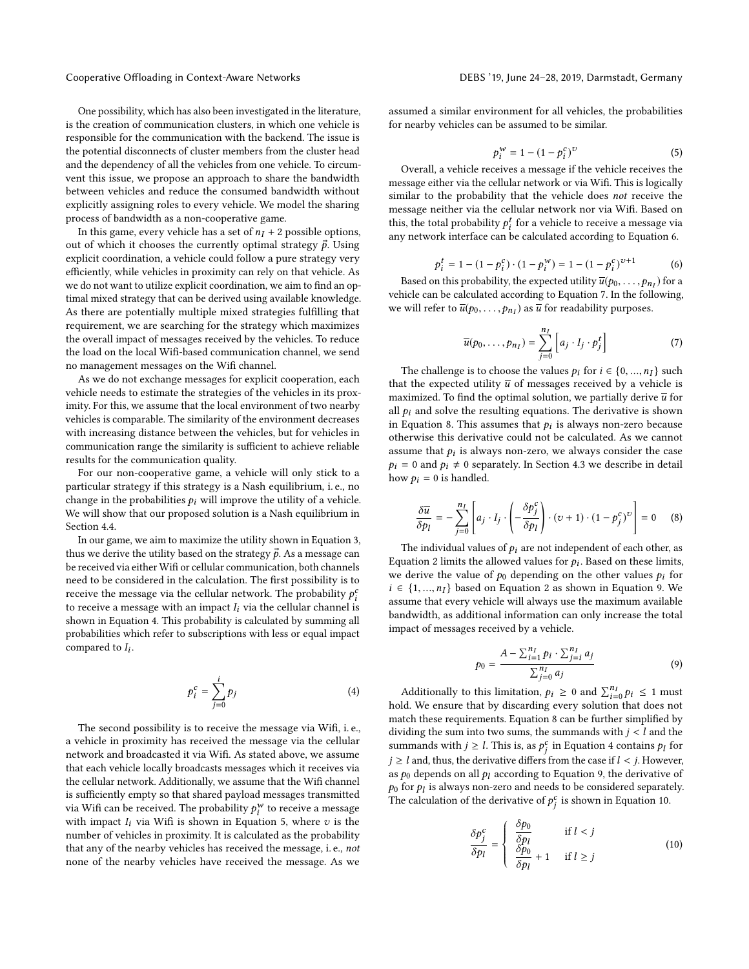Cooperative Offloading in Context-Aware Networks DEBS '19, June 24–28, 2019, Darmstadt, Germany

One possibility, which has also been investigated in the literature, is the creation of communication clusters, in which one vehicle is responsible for the communication with the backend. The issue is the potential disconnects of cluster members from the cluster head and the dependency of all the vehicles from one vehicle. To circumvent this issue, we propose an approach to share the bandwidth between vehicles and reduce the consumed bandwidth without explicitly assigning roles to every vehicle. We model the sharing process of bandwidth as a non-cooperative game.

In this game, every vehicle has a set of  $n<sub>I</sub> + 2$  possible options, out of which it chooses the currently optimal strategy  $\vec{p}$ . Using explicit coordination, a vehicle could follow a pure strategy very efficiently, while vehicles in proximity can rely on that vehicle. As we do not want to utilize explicit coordination, we aim to find an optimal mixed strategy that can be derived using available knowledge. As there are potentially multiple mixed strategies fulfilling that requirement, we are searching for the strategy which maximizes the overall impact of messages received by the vehicles. To reduce the load on the local Wifi-based communication channel, we send no management messages on the Wifi channel.

As we do not exchange messages for explicit cooperation, each vehicle needs to estimate the strategies of the vehicles in its proximity. For this, we assume that the local environment of two nearby vehicles is comparable. The similarity of the environment decreases with increasing distance between the vehicles, but for vehicles in communication range the similarity is sufficient to achieve reliable results for the communication quality.

For our non-cooperative game, a vehicle will only stick to a particular strategy if this strategy is a Nash equilibrium, i. e., no change in the probabilities  $p_i$  will improve the utility of a vehicle. We will show that our proposed solution is a Nash equilibrium in [Section 4.4.](#page-6-2)

In our game, we aim to maximize the utility shown in [Equation 3,](#page-3-3) thus we derive the utility based on the strategy  $\vec{p}$ . As a message can be received via either Wifi or cellular communication, both channels need to be considered in the calculation. The first possibility is to receive the message via the cellular network. The probability  $p_i^c$ <br>to receive a message with an impact L via the cellular channel is to receive a message with an impact  $I_i$  via the cellular channel is<br>shown in Equation 4. This probability is calculated by summing all shown in [Equation 4.](#page-4-0) This probability is calculated by summing all probabilities which refer to subscriptions with less or equal impact compared to  $I_i$ .

<span id="page-4-0"></span>
$$
p_i^c = \sum_{j=0}^i p_j \tag{4}
$$

The second possibility is to receive the message via Wifi, i. e., a vehicle in proximity has received the message via the cellular network and broadcasted it via Wifi. As stated above, we assume that each vehicle locally broadcasts messages which it receives via the cellular network. Additionally, we assume that the Wifi channel is sufficiently empty so that shared payload messages transmitted via Wifi can be received. The probability  $p_i^w$  to receive a message<br>with impact L via Wifi is shown in Equation 5, where *z* is the with impact  $I_i$  via Wifi is shown in [Equation 5,](#page-4-1) where  $v$  is the number of vehicles in provinity. It is calculated as the probability number of vehicles in proximity. It is calculated as the probability that any of the nearby vehicles has received the message, i. e., not none of the nearby vehicles have received the message. As we

assumed a similar environment for all vehicles, the probabilities for nearby vehicles can be assumed to be similar.

<span id="page-4-1"></span>
$$
p_i^{\mathcal{W}} = 1 - (1 - p_i^c)^{\mathcal{U}}
$$
 (5)

 $p_i^W = 1 - (1 - p_i^c)^U$  (5)<br>Overall, a vehicle receives a message if the vehicle receives the message either via the cellular network or via Wifi. This is logically similar to the probability that the vehicle does not receive the message neither via the cellular network nor via Wifi. Based on this, the total probability  $p_i^t$  for a vehicle to receive a message via<br>any network interface can be calculated according to Equation 6. any network interface can be calculated according to [Equation 6.](#page-4-2)

<span id="page-4-2"></span>
$$
p_i^t = 1 - (1 - p_i^c) \cdot (1 - p_i^w) = 1 - (1 - p_i^c)^{v+1}
$$
 (6)

 $p_i^t = 1 - (1 - p_i^c) \cdot (1 - p_i^w) = 1 - (1 - p_i^c)^{v+1}$  (6)<br>Based on this probability, the expected utility  $\overline{u}(p_0, \dots, p_{n_i})$  for a<br>viele can be calculated according to Equation 7. In the following vehicle can be calculated according to [Equation 7.](#page-4-3) In the following, we will refer to  $\overline{u}(p_0,\ldots,p_{n_I})$  as  $\overline{u}$  for readability purposes.

<span id="page-4-3"></span>
$$
\overline{u}(p_0,\ldots,p_{n}) = \sum_{j=0}^{n} \left[ a_j \cdot I_j \cdot p_j^t \right] \tag{7}
$$

The challenge is to choose the values  $p_i$  for  $i \in \{0, ..., n_I\}$  such the expected utility  $\overline{u}$  of messages received by a vehicle is that the expected utility  $\overline{u}$  of messages received by a vehicle is maximized. To find the optimal solution, we partially derive  $\overline{u}$  for all  $p_i$  and solve the resulting equations. The derivative is shown in [Equation 8.](#page-4-4) This assumes that  $p_i$  is always non-zero because<br>otherwise this derivative could not be calculated. As we cannot otherwise this derivative could not be calculated. As we cannot assume that  $p_i$  is always non-zero, we always consider the case<br> $p_i = 0$  and  $p_i \neq 0$  separately. In Section 4.3 we describe in detail  $p_i = 0$  and  $p_i \neq 0$  separately. In [Section 4.3](#page-5-0) we describe in detail how  $p_i = 0$  is handled.

<span id="page-4-4"></span>
$$
\frac{\delta \overline{u}}{\delta p_l} = -\sum_{j=0}^{n_I} \left[ a_j \cdot I_j \cdot \left( -\frac{\delta p_j^c}{\delta p_l} \right) \cdot (v+1) \cdot (1 - p_j^c)^v \right] = 0 \quad (8)
$$

The individual values of  $p_i$  are not independent of each other, as [Equation 2](#page-3-2) limits the allowed values for  $p_i$ . Based on these limits, we derive the value of  $p_i$  depending on the other values  $p_i$  for we derive the value of  $p_0$  depending on the other values  $p_i$  for  $i \in \{1, ..., n_I\}$  based on [Equation 2](#page-3-2) as shown in [Equation 9.](#page-4-5) We assume that every vehicle will always use the maximum available bandwidth, as additional information can only increase the total impact of messages received by a vehicle.

<span id="page-4-5"></span>
$$
p_0 = \frac{A - \sum_{i=1}^{n_I} p_i \cdot \sum_{j=i}^{n_I} a_j}{\sum_{j=0}^{n_I} a_j}
$$
(9)

Additionally to this limitation,  $p_i \geq 0$  and  $\sum_{i=0}^{n_i} p_i \leq 1$  must<br>ld. We ensure that by discarding every solution that does not Additionally to this infinite ton,  $p_i \ge 0$  and  $\sum_{i=0} p_i \le 1$  must<br>hold. We ensure that by discarding every solution that does not match these requirements. [Equation 8](#page-4-4) can be further simplified by dividing the sum into two sums, the summands with  $j < l$  and the summands with  $j \geq l$ . This is, as  $p_j^c$  in [Equation 4](#page-4-0) contains  $p_l$  for  $i > l$  and thus the derivative differential is assault  $l \leq i$ . However  $j \geq l$  and, thus, the derivative differs from the case if  $l < j$ . However,  $l \geq l$  and derivative of as  $p_0$  depends on all  $p_l$  according to [Equation 9,](#page-4-5) the derivative of  $p_0$  for  $p_l$  is always non-zero and needs to be considered separately.<br>The calculation of the derivative of  $p_c^c$  is shown in Equation 10. The calculation of the derivative of  $p_j^c$  is shown in [Equation 10.](#page-4-6)

<span id="page-4-6"></span>
$$
\frac{\delta p_j^c}{\delta p_l} = \begin{cases}\n\frac{\delta p_0}{\delta p_l} & \text{if } l < j \\
\frac{\delta p_0}{\delta p_l} + 1 & \text{if } l \ge j\n\end{cases} \tag{10}
$$

j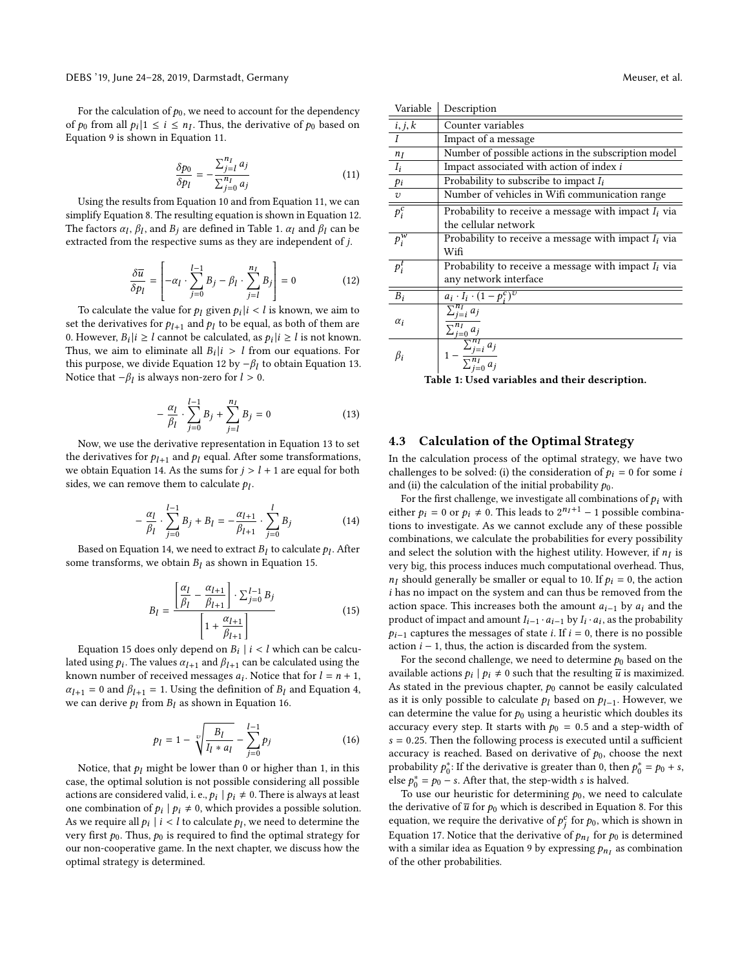For the calculation of  $p_0$ , we need to account for the dependency of  $p_0$  from all  $p_i | 1 \le i \le n_I$ . Thus, the derivative of  $p_0$  based on Equation 9 is shown in Equation 11 [Equation 9](#page-4-5) is shown in [Equation 11.](#page-5-1)

<span id="page-5-1"></span>
$$
\frac{\delta p_0}{\delta p_l} = -\frac{\sum_{j=l}^{n_l} a_j}{\sum_{j=0}^{n_l} a_j} \tag{11}
$$

Using the results from [Equation 10](#page-4-6) and from [Equation 11,](#page-5-1) we can simplify [Equation 8.](#page-4-4) The resulting equation is shown in [Equation 12.](#page-5-2) The factors  $\alpha_l$ ,  $\beta_l$ , and  $B_j$  are defined in [Table 1.](#page-5-3)  $\alpha_l$  and  $\beta_l$  can be extracted from the respective sums as they are independent of *i* extracted from the respective sums as they are independent of j.

<span id="page-5-2"></span>
$$
\frac{\delta \overline{u}}{\delta p_l} = \left[ -\alpha_l \cdot \sum_{j=0}^{l-1} B_j - \beta_l \cdot \sum_{j=l}^{n_l} B_j \right] = 0 \tag{12}
$$

To calculate the value for  $p_l$  given  $p_i|i \lt l$  is known, we aim to<br>the derivatives for  $p_i$ , and  $p_i$  to be equal as both of them are set the derivatives for  $p_{l+1}$  and  $p_l$  to be equal, as both of them are<br>0. However,  $B_l(i) > l$  cannot be calculated, as  $p_l(i) > l$  is not known 0. However,  $B_i|i \geq l$  cannot be calculated, as  $p_i|i \geq l$  is not known.<br>Thus, we aim to eliminate all  $B_i|i \geq l$  from our equations. For Thus, we aim to eliminate all  $B_i|i \rangle l$  from our equations. For this purpose we divide Equation 12 by  $-\beta$ , to obtain Equation 13 this purpose, we divide [Equation 12](#page-5-2) by  $-\beta_l$  to obtain [Equation 13.](#page-5-4)<br>Notice that −β, is always non-zero for  $l > 0$ . Notice that  $-\beta_l$  is always non-zero for  $l > 0$ .

<span id="page-5-4"></span>
$$
-\frac{\alpha_l}{\beta_l} \cdot \sum_{j=0}^{l-1} B_j + \sum_{j=l}^{n_l} B_j = 0
$$
 (13)

 $\begin{array}{cc} r & j=0 & j=l \\ \text{Now, we use the derivative representation in Equation 13 to set } \end{array}$  $\begin{array}{cc} r & j=0 & j=l \\ \text{Now, we use the derivative representation in Equation 13 to set } \end{array}$  $\begin{array}{cc} r & j=0 & j=l \\ \text{Now, we use the derivative representation in Equation 13 to set } \end{array}$ the derivatives for  $p_{l+1}$  and  $p_l$  equal. After some transformations, we obtain [Equation 14.](#page-5-5) As the sums for  $j > l + 1$  are equal for both sides, we can remove them to calculate  $p_l$ .

<span id="page-5-5"></span>
$$
-\frac{\alpha_l}{\beta_l} \cdot \sum_{j=0}^{l-1} B_j + B_l = -\frac{\alpha_{l+1}}{\beta_{l+1}} \cdot \sum_{j=0}^{l} B_j
$$
 (14)

Based on [Equation 14,](#page-5-5) we need to extract  $B_l$  to calculate  $p_l$ . After the transforms, we obtain  $B_l$  as shown in Equation 15. some transforms, we obtain  $B_l$  as shown in [Equation 15.](#page-5-6)

<span id="page-5-6"></span>
$$
B_{l} = \frac{\left[\frac{\alpha_{l}}{\beta_{l}} - \frac{\alpha_{l+1}}{\beta_{l+1}}\right] \cdot \sum_{j=0}^{l-1} B_{j}}{\left[1 + \frac{\alpha_{l+1}}{\beta_{l+1}}\right]}
$$
(15)

[Equation 15](#page-5-6) does only depend on  $B_i | i < l$  which can be calcu-<br>ad using the calculuse  $\alpha_{i+1}$  and  $\beta_{i+1}$  can be calculated using the lated using  $p_i$ . The values  $\alpha_{l+1}$  and  $\beta_{l+1}$  can be calculated using the known number of received messages  $a_i$ . Notice that for  $l = n + 1$ known number of received messages  $a_i$ . Notice that for  $l = n + 1$ ,<br> $\alpha_i = 0$  and  $\beta_i = 1$ . Using the definition of B, and Equation 4.  $\alpha_{l+1} = 0$  and  $\beta_{l+1} = 1$ . Using the definition of  $B_l$  and [Equation 4,](#page-4-0) we can derive  $p_l$  from  $B_l$  as shown in [Equation 16.](#page-5-7)

<span id="page-5-7"></span>
$$
p_l = 1 - \sqrt[n]{\frac{B_l}{I_l * a_l}} - \sum_{j=0}^{l-1} p_j
$$
 (16)

Notice, that  $p_l$  might be lower than 0 or higher than 1, in this set the ontimal solution is not possible considering all possible case, the optimal solution is not possible considering all possible actions are considered valid, i. e.,  $p_i | p_i \neq 0$ . There is always at least one combination of  $p_i | p_i \neq 0$ , which provides a possible solution. As we require all  $p_i \mid i < l$  to calculate  $p_l$ , we need to determine the very first  $p_0$ . Thus,  $p_0$  is required to find the optimal strategy for very first  $p_0$ . Thus,  $p_0$  is required to find the optimal strategy for our non-cooperative game. In the next chapter, we discuss how the optimal strategy is determined.

<span id="page-5-3"></span>

| Variable                                       | Description                                                                                         |  |
|------------------------------------------------|-----------------------------------------------------------------------------------------------------|--|
| i, j, k                                        | Counter variables                                                                                   |  |
| $\bar{I}$                                      | Impact of a message                                                                                 |  |
| $n_I$                                          | Number of possible actions in the subscription model                                                |  |
| $\overline{I_i}$                               | Impact associated with action of index i                                                            |  |
| pi                                             | Probability to subscribe to impact $I_i$                                                            |  |
|                                                | Number of vehicles in Wifi communication range                                                      |  |
| $\frac{v}{p_i^c}$                              | Probability to receive a message with impact $I_i$ via                                              |  |
|                                                | the cellular network                                                                                |  |
| $p_i^w$                                        | Probability to receive a message with impact $I_i$ via                                              |  |
|                                                | Wifi                                                                                                |  |
| $p_i^t$                                        | Probability to receive a message with impact $I_i$ via                                              |  |
|                                                | any network interface                                                                               |  |
| $\overline{B_i}$                               | $a_i \cdot I_i \cdot (1 - p_i^c)^v$                                                                 |  |
|                                                | $\sum_{i=i}^{n_I} a_j$                                                                              |  |
| $\alpha_i$                                     | $\sum_{j=0}^{n_I} a_j$                                                                              |  |
| $\beta_i$                                      |                                                                                                     |  |
|                                                | $\frac{\sum_{j=0}^{L} \sum_{j=i}^{n_I} a_j}{1 - \frac{\sum_{j=i}^{n_I} a_j}{\sum_{i=0}^{n_I} a_j}}$ |  |
| Table 1: Used variables and their description. |                                                                                                     |  |

### <span id="page-5-0"></span>4.3 Calculation of the Optimal Strategy

In the calculation process of the optimal strategy, we have two challenges to be solved: (i) the consideration of  $p_i = 0$  for some i and (ii) the calculation of the initial probability  $p_0$ .

For the first challenge, we investigate all combinations of  $p_i$  with either  $p_i = 0$  or  $p_i \neq 0$ . This leads to  $2^{n_i+1} - 1$  possible combina-<br>tions to investigate  $A \in \mathbb{R}$  cannot exclude any of these possible tions to investigate. As we cannot exclude any of these possible combinations, we calculate the probabilities for every possibility and select the solution with the highest utility. However, if  $n_I$  is<br>very big this process induces much computational overhead. Thus very big, this process induces much computational overhead. Thus,  $n_I$  should generally be smaller or equal to 10. If  $p_i = 0$ , the action i has no impact on the system and can thus be removed from the action space. This increases both the amount  $a_{i-1}$  by  $a_i$  and the product of impact and amount  $I_{i-1} \cdot a_{i-1}$  by  $I_i \cdot a_i$ , as the probability<br> $\Delta_{i}$ , a captures the messages of state  $i$ , If  $i = 0$ , there is no possible  $p_{i-1}$  captures the messages of state *i*. If  $i = 0$ , there is no possible action  $i - 1$ , thus, the action is discarded from the system.

For the second challenge, we need to determine  $p_0$  based on the available actions  $p_i | p_i \neq 0$  such that the resulting  $\overline{u}$  is maximized. As stated in the previous chapter,  $p_0$  cannot be easily calculated as it is only possible to calculate  $p_l$  based on  $p_{l-1}$ . However, we can determine the value for  $p_0$  using a heuristic which doubles its can determine the value for  $p_0$  using a heuristic which doubles its accuracy every step. It starts with  $p_0 = 0.5$  and a step-width of  $s = 0.25$ . Then the following process is executed until a sufficient accuracy is reached. Based on derivative of  $p_0$ , choose the next probability  $p_0^*$ : If the derivative is greater than 0, then  $p_0^* = p_0 + s$ ,<br>else  $p^* = p_0 - s$ . After that the step-width s is halved else  $p_0^* = p_0 - s$ . After that, the step-width s is halved.<br>To use our beuristic for determining to use need.

To use our heuristic for determining  $p_0$ , we need to calculate the derivative of  $\overline{u}$  for  $p_0$  which is described in [Equation 8.](#page-4-4) For this equation, we require the derivative of  $p_j^c$  for  $p_0$ , which is shown in<br>Fourtion 17. Notice that the derivative of n. for n. is determined [Equation 17.](#page-6-3) Notice that the derivative of  $p_{n_1}$  for  $p_0$  is determined<br>with a similar idea as Equation 9 by expressing  $p_{n_1}$  as combination with a similar idea as [Equation 9](#page-4-5) by expressing  $p_{n_I}$  as combination<br>of the other probabilities of the other probabilities.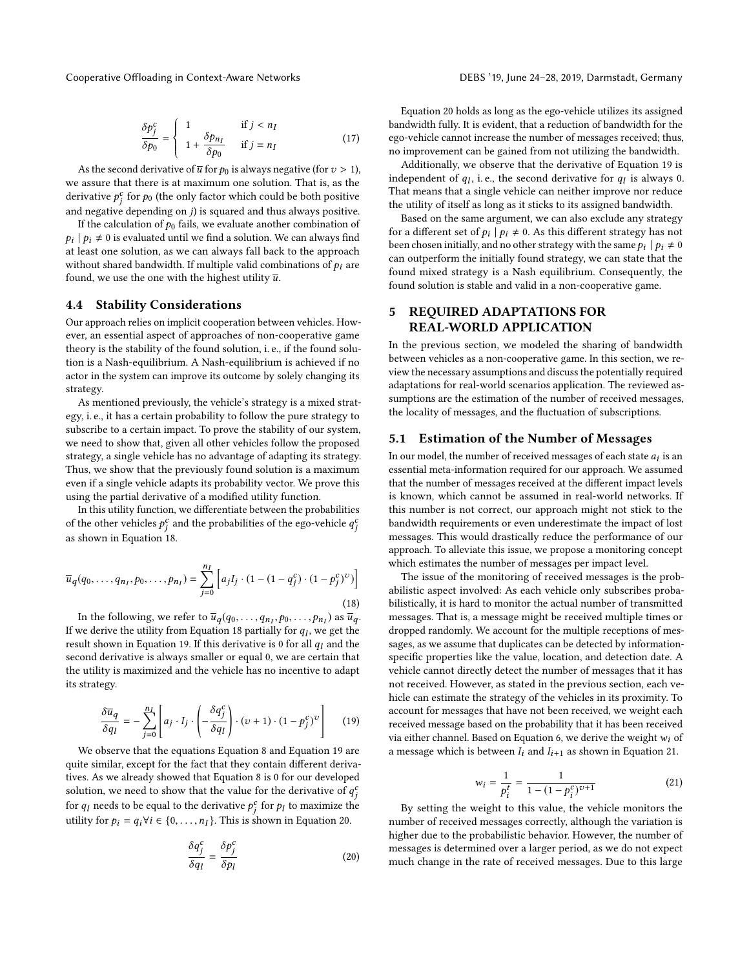Cooperative Offloading in Context-Aware Networks DEBS '19, June 24–28, 2019, Darmstadt, Germany

<span id="page-6-3"></span>
$$
\frac{\delta p_j^c}{\delta p_0} = \begin{cases} 1 & \text{if } j < n_I \\ 1 + \frac{\delta p_{n_I}}{\delta p_0} & \text{if } j = n_I \end{cases}
$$
(17)

As the second derivative of  $\overline{u}$  for  $p_0$  is always negative (for  $v > 1$ ), assume that there is at maximum one solution. That is as the we assure that there is at maximum one solution. That is, as the derivative  $p_j^c$  for  $p_0$  (the only factor which could be both positive<br>and negative denoming an i) is agreed and thus always negitive and negative depending on j) is squared and thus always positive.<br>If the calculation of the fails, we evaluate another combination of

If the calculation of  $p_0$  fails, we evaluate another combination of at least one solution, as we can always fall back to the approach  $p_i | p_i \neq 0$  is evaluated until we find a solution. We can always find without shared bandwidth. If multiple valid combinations of  $p_i$  are found, we use the one with the highest utility  $\overline{u}$ .

### <span id="page-6-2"></span>4.4 Stability Considerations

Our approach relies on implicit cooperation between vehicles. However, an essential aspect of approaches of non-cooperative game theory is the stability of the found solution, i. e., if the found solution is a Nash-equilibrium. A Nash-equilibrium is achieved if no actor in the system can improve its outcome by solely changing its strategy.

As mentioned previously, the vehicle's strategy is a mixed strategy, i. e., it has a certain probability to follow the pure strategy to subscribe to a certain impact. To prove the stability of our system, we need to show that, given all other vehicles follow the proposed strategy, a single vehicle has no advantage of adapting its strategy. Thus, we show that the previously found solution is a maximum even if a single vehicle adapts its probability vector. We prove this using the partial derivative of a modified utility function.

In this utility function, we differentiate between the probabilities of the other vehicles  $p_j^c$  and the probabilities of the ego-vehicle  $q_j^c$ <br>casebourn in Equation 18 as shown in [Equation 18.](#page-6-4) j

<span id="page-6-4"></span>
$$
\overline{u}_q(q_0, \dots, q_{n_I}, p_0, \dots, p_{n_I}) = \sum_{j=0}^{n_I} \left[ a_j I_j \cdot (1 - (1 - q_j^c) \cdot (1 - p_j^c)^v) \right]
$$
\n(18)

In the following, we refer to  $\overline{u}_q(q_0, \ldots, q_{n_I}, p_0, \ldots, p_{n_I})$  as  $\overline{u}_q$ .<br>We derive the utility from Equation 18 partially for a, we get the If we derive the utility from [Equation 18](#page-6-4) partially for  $q_l$ , we get the result shown in Equation 19. If this derivative is 0 for all  $q_l$  and the result shown in [Equation 19.](#page-6-5) If this derivative is 0 for all  $q_l$  and the second derivative is always smaller or equal 0, we are certain that the utility is maximized and the vehicle has no incentive to adapt its strategy.

<span id="page-6-5"></span>
$$
\frac{\delta \overline{u}_q}{\delta q_l} = -\sum_{j=0}^{n_I} \left[ a_j \cdot I_j \cdot \left( -\frac{\delta q_j^c}{\delta q_l} \right) \cdot (v+1) \cdot (1 - p_j^c)^{\nu} \right] \tag{19}
$$

We observe that the equations [Equation 8](#page-4-4) and [Equation 19](#page-6-5) are quite similar, except for the fact that they contain different derivatives. As we already showed that [Equation 8](#page-4-4) is 0 for our developed solution, we need to show that the value for the derivative of  $q_j^c$ <br>for a masslate he sayed to the derivative of for a to maximize the for q<sub>l</sub> needs to be equal to the derivative  $p_j^c$  for  $p_l$  to maximize the utility for  $p_i = q_i \forall i \in \{0, ..., n_I\}$ . This is shown in [Equation 20.](#page-6-6)

<span id="page-6-6"></span>
$$
\frac{\delta q_j^c}{\delta q_l} = \frac{\delta p_j^c}{\delta p_l} \tag{20}
$$

[Equation 20](#page-6-6) holds as long as the ego-vehicle utilizes its assigned bandwidth fully. It is evident, that a reduction of bandwidth for the ego-vehicle cannot increase the number of messages received; thus, no improvement can be gained from not utilizing the bandwidth.

Additionally, we observe that the derivative of [Equation 19](#page-6-5) is independent of  $q_l$ , i.e., the second derivative for  $q_l$  is always 0.<br>That means that a single vehicle can neither improve nor reduce That means that a single vehicle can neither improve nor reduce the utility of itself as long as it sticks to its assigned bandwidth.

Based on the same argument, we can also exclude any strategy for a different set of  $p_i | p_i \neq 0$ . As this different strategy has not been chosen initially and no other strategy with the same  $p_i | p_i \neq 0$ . been chosen initially, and no other strategy with the same  $p_i | p_i \neq 0$ <br>can outperform the initially found strategy we can state that the can outperform the initially found strategy, we can state that the found mixed strategy is a Nash equilibrium. Consequently, the found solution is stable and valid in a non-cooperative game.

# <span id="page-6-0"></span>5 REQUIRED ADAPTATIONS FOR REAL-WORLD APPLICATION

In the previous section, we modeled the sharing of bandwidth between vehicles as a non-cooperative game. In this section, we review the necessary assumptions and discuss the potentially required adaptations for real-world scenarios application. The reviewed assumptions are the estimation of the number of received messages, the locality of messages, and the fluctuation of subscriptions.

### <span id="page-6-1"></span>5.1 Estimation of the Number of Messages

In our model, the number of received messages of each state  $a_i$  is an essential meta-information required for our approach. We assumed essential meta-information required for our approach. We assumed that the number of messages received at the different impact levels is known, which cannot be assumed in real-world networks. If this number is not correct, our approach might not stick to the bandwidth requirements or even underestimate the impact of lost messages. This would drastically reduce the performance of our approach. To alleviate this issue, we propose a monitoring concept which estimates the number of messages per impact level.

The issue of the monitoring of received messages is the probabilistic aspect involved: As each vehicle only subscribes probabilistically, it is hard to monitor the actual number of transmitted messages. That is, a message might be received multiple times or dropped randomly. We account for the multiple receptions of messages, as we assume that duplicates can be detected by informationspecific properties like the value, location, and detection date. A vehicle cannot directly detect the number of messages that it has not received. However, as stated in the previous section, each vehicle can estimate the strategy of the vehicles in its proximity. To account for messages that have not been received, we weight each received message based on the probability that it has been received via either channel. Based on [Equation 6,](#page-4-2) we derive the weight  $w_i$  of a message which is between  $I_i$  and  $I_{i+1}$  as shown in [Equation 21.](#page-6-7)

<span id="page-6-7"></span>
$$
w_i = \frac{1}{p_i^t} = \frac{1}{1 - (1 - p_i^c)^{v+1}}
$$
(21)

 $\begin{bmatrix} r_i & r_i \\ r_i & r_i \end{bmatrix}$ <br>By setting the weight to this value, the vehicle monitors the number of received messages correctly, although the variation is higher due to the probabilistic behavior. However, the number of messages is determined over a larger period, as we do not expect much change in the rate of received messages. Due to this large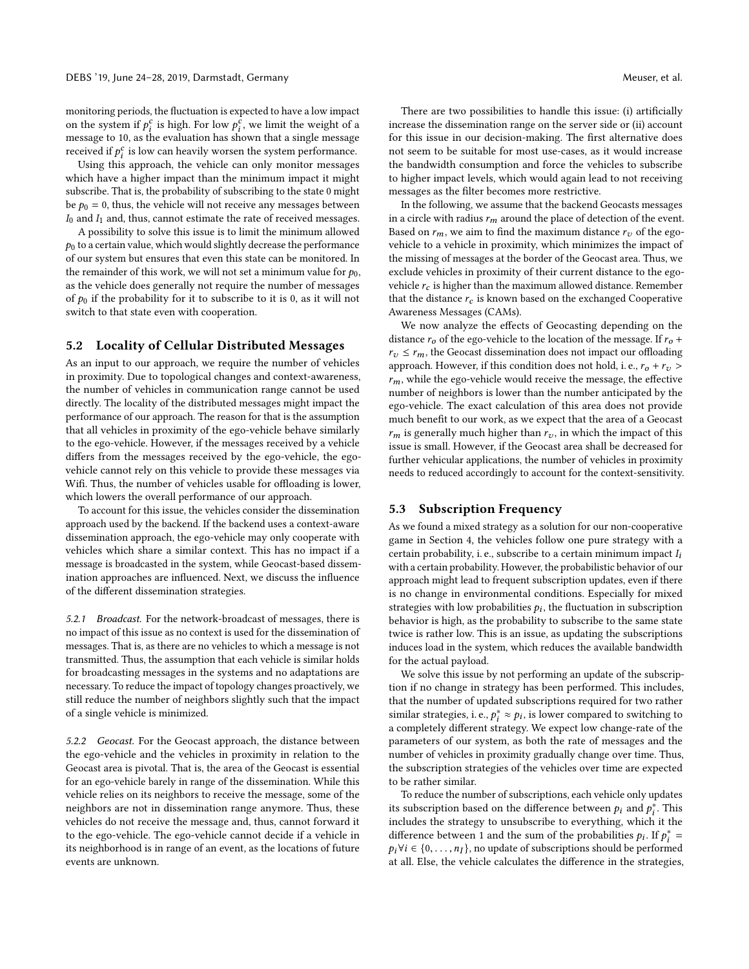monitoring periods, the fluctuation is expected to have a low impact on the system if  $p_i^c$  is high. For low  $p_i^c$ , we limit the weight of a<br>message to 10, as the evaluation has shown that a single message message to 10, as the evaluation has shown that a single message received if  $p_i^c$  is low can heavily worsen the system performance.<br>Using this approach, the vehicle can only monitor message

Using this approach, the vehicle can only monitor messages which have a higher impact than the minimum impact it might subscribe. That is, the probability of subscribing to the state 0 might be  $p_0 = 0$ , thus, the vehicle will not receive any messages between  $I_0$  and  $I_1$  and, thus, cannot estimate the rate of received messages.

A possibility to solve this issue is to limit the minimum allowed  $p_0$  to a certain value, which would slightly decrease the performance of our system but ensures that even this state can be monitored. In the remainder of this work, we will not set a minimum value for  $p_0$ , as the vehicle does generally not require the number of messages of  $p_0$  if the probability for it to subscribe to it is 0, as it will not switch to that state even with cooperation.

### <span id="page-7-0"></span>5.2 Locality of Cellular Distributed Messages

As an input to our approach, we require the number of vehicles in proximity. Due to topological changes and context-awareness, the number of vehicles in communication range cannot be used directly. The locality of the distributed messages might impact the performance of our approach. The reason for that is the assumption that all vehicles in proximity of the ego-vehicle behave similarly to the ego-vehicle. However, if the messages received by a vehicle differs from the messages received by the ego-vehicle, the egovehicle cannot rely on this vehicle to provide these messages via Wifi. Thus, the number of vehicles usable for offloading is lower, which lowers the overall performance of our approach.

To account for this issue, the vehicles consider the dissemination approach used by the backend. If the backend uses a context-aware dissemination approach, the ego-vehicle may only cooperate with vehicles which share a similar context. This has no impact if a message is broadcasted in the system, while Geocast-based dissemination approaches are influenced. Next, we discuss the influence of the different dissemination strategies.

5.2.1 Broadcast. For the network-broadcast of messages, there is no impact of this issue as no context is used for the dissemination of messages. That is, as there are no vehicles to which a message is not transmitted. Thus, the assumption that each vehicle is similar holds for broadcasting messages in the systems and no adaptations are necessary. To reduce the impact of topology changes proactively, we still reduce the number of neighbors slightly such that the impact of a single vehicle is minimized.

5.2.2 Geocast. For the Geocast approach, the distance between the ego-vehicle and the vehicles in proximity in relation to the Geocast area is pivotal. That is, the area of the Geocast is essential for an ego-vehicle barely in range of the dissemination. While this vehicle relies on its neighbors to receive the message, some of the neighbors are not in dissemination range anymore. Thus, these vehicles do not receive the message and, thus, cannot forward it to the ego-vehicle. The ego-vehicle cannot decide if a vehicle in its neighborhood is in range of an event, as the locations of future events are unknown.

There are two possibilities to handle this issue: (i) artificially increase the dissemination range on the server side or (ii) account for this issue in our decision-making. The first alternative does not seem to be suitable for most use-cases, as it would increase the bandwidth consumption and force the vehicles to subscribe to higher impact levels, which would again lead to not receiving messages as the filter becomes more restrictive.

In the following, we assume that the backend Geocasts messages in a circle with radius  $r_m$  around the place of detection of the event. Based on  $r_m$ , we aim to find the maximum distance  $r_v$  of the egovehicle to a vehicle in proximity, which minimizes the impact of the missing of messages at the border of the Geocast area. Thus, we exclude vehicles in proximity of their current distance to the egovehicle  $r_c$  is higher than the maximum allowed distance. Remember that the distance  $r_c$  is known based on the exchanged [Cooperative](#page-0-0) [Awareness Messages \(CAMs\).](#page-0-0)

We now analyze the effects of Geocasting depending on the distance  $r_0$  of the ego-vehicle to the location of the message. If  $r_0$  +  $r_v \leq r_m$ , the Geocast dissemination does not impact our offloading approach. However, if this condition does not hold, i. e.,  $r_0 + r_v$  >  $r_m$ , while the ego-vehicle would receive the message, the effective number of neighbors is lower than the number anticipated by the ego-vehicle. The exact calculation of this area does not provide much benefit to our work, as we expect that the area of a Geocast  $r_m$  is generally much higher than  $r_v$ , in which the impact of this issue is small. However, if the Geocast area shall be decreased for further vehicular applications, the number of vehicles in proximity needs to reduced accordingly to account for the context-sensitivity.

### 5.3 Subscription Frequency

As we found a mixed strategy as a solution for our non-cooperative game in [Section 4,](#page-3-0) the vehicles follow one pure strategy with a certain probability, i. e., subscribe to a certain minimum impact  $I_i$ with a certain probability. However, the probabilistic behavior of our approach might lead to frequent subscription updates, even if there is no change in environmental conditions. Especially for mixed strategies with low probabilities  $p_i$ , the fluctuation in subscription<br>behavior is high-as the probability to subscribe to the same state behavior is high, as the probability to subscribe to the same state twice is rather low. This is an issue, as updating the subscriptions induces load in the system, which reduces the available bandwidth for the actual payload.

We solve this issue by not performing an update of the subscription if no change in strategy has been performed. This includes, that the number of updated subscriptions required for two rather similar strategies, i. e.,  $p_i^* \approx p_i$ , is lower compared to switching to completely different strategy. We expect low change-rate of the a completely different strategy. We expect low change-rate of the parameters of our system, as both the rate of messages and the number of vehicles in proximity gradually change over time. Thus, the subscription strategies of the vehicles over time are expected to be rather similar.

To reduce the number of subscriptions, each vehicle only updates its subscription based on the difference between  $p_i$  and  $p_i^*$ . This includes the strategy to unsubscribe to everything which it the i includes the strategy to unsubscribe to everything, which it the difference between 1 and the sum of the probabilities  $p_i$ . If  $p_i^* =$  $p_i \forall i \in \{0, \ldots, n_I\}$ , no update of subscriptions should be performed at all Files, the vabicle calculates the difference in the strategies at all. Else, the vehicle calculates the difference in the strategies,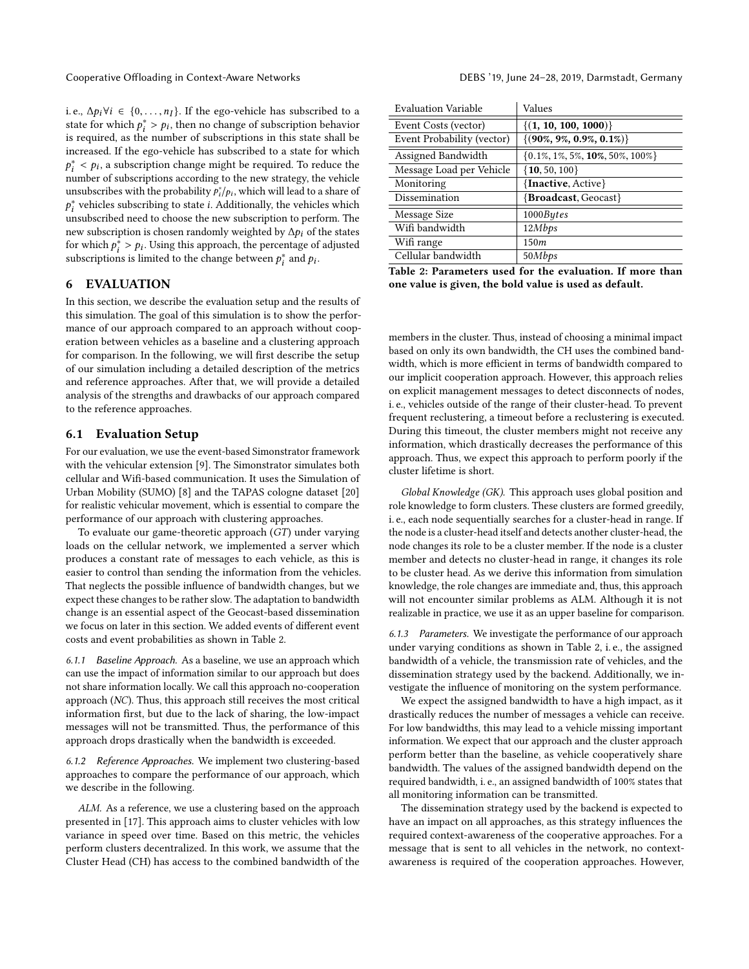i. e.,  $\Delta p_i \forall i \in \{0, ..., n_I\}$ . If the ego-vehicle has subscribed to a state for which  $p_i^* > p_i$ , then no change of subscription behavior<br>is required as the number of subscriptions in this state shall be  $\sum_{i=1}^{n} \sum_{i=1}^{n} \sum_{j=1}^{n} \sum_{i=1}^{n} \sum_{j=1}^{n} \sum_{j=1}^{n} \sum_{j=1}^{n} \sum_{j=1}^{n} \sum_{j=1}^{n} \sum_{j=1}^{n} \sum_{j=1}^{n} \sum_{j=1}^{n} \sum_{j=1}^{n} \sum_{j=1}^{n} \sum_{j=1}^{n} \sum_{j=1}^{n} \sum_{j=1}^{n} \sum_{j=1}^{n} \sum_{j=1}^{n} \sum_{j=1}^{n} \sum_{j=1}^{n} \sum_{j=1}^{n}$ increased. If the ego-vehicle has subscribed to a state for which  $p_1$  is provided to the new strategy, the vehicle number of subscriptions according to the new strategy, the vehicle  $i<sub>i</sub> < p<sub>i</sub>$ , a subscription change might be required. To reduce the unsubscribes with the probability  $p_i^*/p_i$ , which will lead to a share of  $\frac{p}{l}$  unsubscribed need to choose the new subscription to perform. The ∗ vehicles subscribing to state *i*. Additionally, the vehicles which reubscribed need to choose the new subscribiion to perform. The new subscription is chosen randomly weighted by  $\Delta p_i$  of the states for which  $p_i^* > p_i$ . Using this approach, the percentage of adjusted<br>subscriptions is limited to the change between  $p_i^*$  and  $p_i$ .  $\frac{1}{r_1}$   $\frac{1}{r_1}$   $\frac{1}{r_2}$  and  $\frac{1}{r_2}$  and  $\frac{1}{r_1}$  and  $\frac{1}{r_2}$  and  $\frac{1}{r_1}$ .

### <span id="page-8-0"></span>6 EVALUATION

In this section, we describe the evaluation setup and the results of this simulation. The goal of this simulation is to show the performance of our approach compared to an approach without cooperation between vehicles as a baseline and a clustering approach for comparison. In the following, we will first describe the setup of our simulation including a detailed description of the metrics and reference approaches. After that, we will provide a detailed analysis of the strengths and drawbacks of our approach compared to the reference approaches.

# 6.1 Evaluation Setup

For our evaluation, we use the event-based Simonstrator framework with the vehicular extension [\[9\]](#page-11-24). The Simonstrator simulates both cellular and Wifi-based communication. It uses the [Simulation of](#page-0-0) [Urban Mobility \(SUMO\)](#page-0-0) [\[8\]](#page-11-25) and the TAPAS cologne dataset [\[20\]](#page-11-26) for realistic vehicular movement, which is essential to compare the performance of our approach with clustering approaches.

To evaluate our game-theoretic approach (GT) under varying loads on the cellular network, we implemented a server which produces a constant rate of messages to each vehicle, as this is easier to control than sending the information from the vehicles. That neglects the possible influence of bandwidth changes, but we expect these changes to be rather slow. The adaptation to bandwidth change is an essential aspect of the Geocast-based dissemination we focus on later in this section. We added events of different event costs and event probabilities as shown in [Table 2.](#page-8-1)

6.1.1 Baseline Approach. As a baseline, we use an approach which can use the impact of information similar to our approach but does not share information locally. We call this approach no-cooperation approach (NC). Thus, this approach still receives the most critical information first, but due to the lack of sharing, the low-impact messages will not be transmitted. Thus, the performance of this approach drops drastically when the bandwidth is exceeded.

6.1.2 Reference Approaches. We implement two clustering-based approaches to compare the performance of our approach, which we describe in the following.

ALM. As a reference, we use a clustering based on the approach presented in [\[17\]](#page-11-9). This approach aims to cluster vehicles with low variance in speed over time. Based on this metric, the vehicles perform clusters decentralized. In this work, we assume that the [Cluster Head \(CH\)](#page-0-0) has access to the combined bandwidth of the

<span id="page-8-1"></span>

| <b>Evaluation Variable</b>                                | Values                                   |  |
|-----------------------------------------------------------|------------------------------------------|--|
| Event Costs (vector)                                      | $\{(1, 10, 100, 1000)\}\$                |  |
| Event Probability (vector)                                | $\{(90\%, 9\%, 0.9\%, 0.1\%)\}$          |  |
| Assigned Bandwidth                                        | $\{0.1\%, 1\%, 5\%, 10\%, 50\%, 100\%\}$ |  |
| Message Load per Vehicle                                  | $\{$ <b>10</b> , 50, 100}                |  |
| Monitoring                                                | {Inactive, Active}                       |  |
| Dissemination                                             | { <b>Broadcast</b> , Geocast}            |  |
| Message Size                                              | 1000Bytes                                |  |
| Wifi bandwidth                                            | 12Mbps                                   |  |
| Wifi range                                                | 150m                                     |  |
| Cellular bandwidth                                        | 50Mbps                                   |  |
| Table 2: Parameters used for the evaluation. If more than |                                          |  |

one value is given, the bold value is used as default.

members in the cluster. Thus, instead of choosing a minimal impact based on only its own bandwidth, the [CH](#page-0-0) uses the combined bandwidth, which is more efficient in terms of bandwidth compared to our implicit cooperation approach. However, this approach relies on explicit management messages to detect disconnects of nodes, i. e., vehicles outside of the range of their cluster-head. To prevent frequent reclustering, a timeout before a reclustering is executed. During this timeout, the cluster members might not receive any information, which drastically decreases the performance of this approach. Thus, we expect this approach to perform poorly if the cluster lifetime is short.

Global Knowledge (GK). This approach uses global position and role knowledge to form clusters. These clusters are formed greedily, i. e., each node sequentially searches for a cluster-head in range. If the node is a cluster-head itself and detects another cluster-head, the node changes its role to be a cluster member. If the node is a cluster member and detects no cluster-head in range, it changes its role to be cluster head. As we derive this information from simulation knowledge, the role changes are immediate and, thus, this approach will not encounter similar problems as ALM. Although it is not realizable in practice, we use it as an upper baseline for comparison.

<span id="page-8-2"></span>6.1.3 Parameters. We investigate the performance of our approach under varying conditions as shown in [Table 2,](#page-8-1) i. e., the assigned bandwidth of a vehicle, the transmission rate of vehicles, and the dissemination strategy used by the backend. Additionally, we investigate the influence of monitoring on the system performance.

We expect the assigned bandwidth to have a high impact, as it drastically reduces the number of messages a vehicle can receive. For low bandwidths, this may lead to a vehicle missing important information. We expect that our approach and the cluster approach perform better than the baseline, as vehicle cooperatively share bandwidth. The values of the assigned bandwidth depend on the required bandwidth, i. e., an assigned bandwidth of 100% states that all monitoring information can be transmitted.

The dissemination strategy used by the backend is expected to have an impact on all approaches, as this strategy influences the required context-awareness of the cooperative approaches. For a message that is sent to all vehicles in the network, no contextawareness is required of the cooperation approaches. However,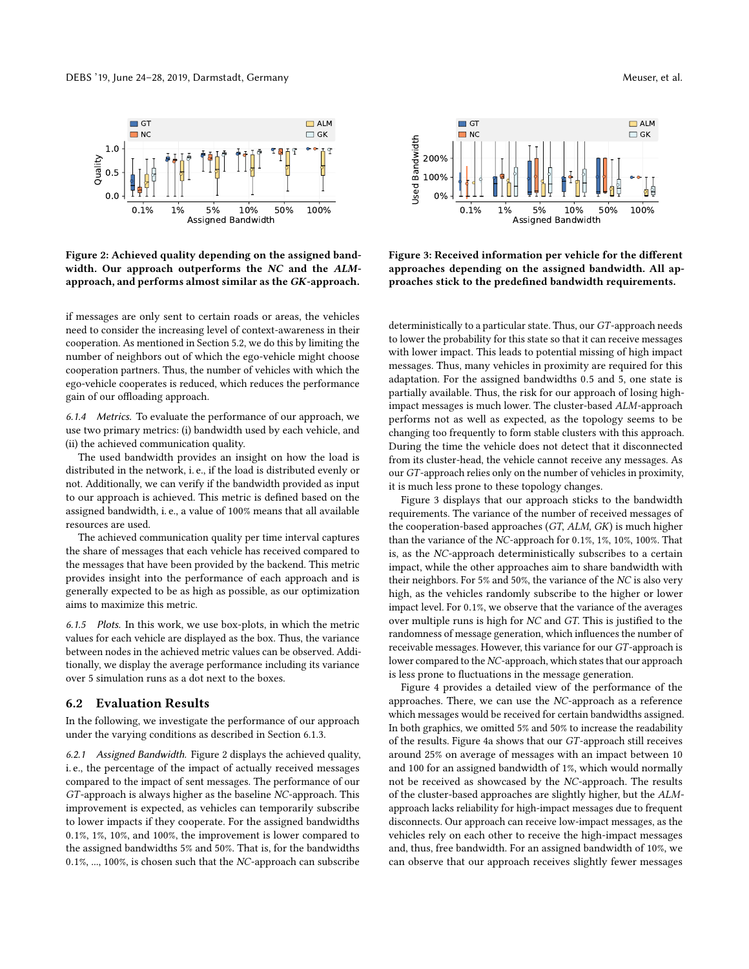<span id="page-9-0"></span>

Figure 2: Achieved quality depending on the assigned bandwidth. Our approach outperforms the NC and the ALMapproach, and performs almost similar as the GK-approach.

if messages are only sent to certain roads or areas, the vehicles need to consider the increasing level of context-awareness in their cooperation. As mentioned in [Section 5.2,](#page-7-0) we do this by limiting the number of neighbors out of which the ego-vehicle might choose cooperation partners. Thus, the number of vehicles with which the ego-vehicle cooperates is reduced, which reduces the performance gain of our offloading approach.

6.1.4 Metrics. To evaluate the performance of our approach, we use two primary metrics: (i) bandwidth used by each vehicle, and (ii) the achieved communication quality.

The used bandwidth provides an insight on how the load is distributed in the network, i. e., if the load is distributed evenly or not. Additionally, we can verify if the bandwidth provided as input to our approach is achieved. This metric is defined based on the assigned bandwidth, i. e., a value of 100% means that all available resources are used.

The achieved communication quality per time interval captures the share of messages that each vehicle has received compared to the messages that have been provided by the backend. This metric provides insight into the performance of each approach and is generally expected to be as high as possible, as our optimization aims to maximize this metric.

6.1.5 Plots. In this work, we use box-plots, in which the metric values for each vehicle are displayed as the box. Thus, the variance between nodes in the achieved metric values can be observed. Additionally, we display the average performance including its variance over 5 simulation runs as a dot next to the boxes.

### 6.2 Evaluation Results

In the following, we investigate the performance of our approach under the varying conditions as described in [Section 6.1.3.](#page-8-2)

6.2.1 Assigned Bandwidth. [Figure 2](#page-9-0) displays the achieved quality, i. e., the percentage of the impact of actually received messages compared to the impact of sent messages. The performance of our GT-approach is always higher as the baseline NC-approach. This improvement is expected, as vehicles can temporarily subscribe to lower impacts if they cooperate. For the assigned bandwidths <sup>0</sup>.1%, 1%, 10%, and 100%, the improvement is lower compared to the assigned bandwidths 5% and 50%. That is, for the bandwidths <sup>0</sup>.1%, ..., 100%, is chosen such that the NC-approach can subscribe

<span id="page-9-1"></span>

Figure 3: Received information per vehicle for the different approaches depending on the assigned bandwidth. All approaches stick to the predefined bandwidth requirements.

deterministically to a particular state. Thus, our GT-approach needs to lower the probability for this state so that it can receive messages with lower impact. This leads to potential missing of high impact messages. Thus, many vehicles in proximity are required for this adaptation. For the assigned bandwidths <sup>0</sup>.<sup>5</sup> and 5, one state is partially available. Thus, the risk for our approach of losing highimpact messages is much lower. The cluster-based ALM-approach performs not as well as expected, as the topology seems to be changing too frequently to form stable clusters with this approach. During the time the vehicle does not detect that it disconnected from its cluster-head, the vehicle cannot receive any messages. As our GT-approach relies only on the number of vehicles in proximity, it is much less prone to these topology changes.

[Figure 3](#page-9-1) displays that our approach sticks to the bandwidth requirements. The variance of the number of received messages of the cooperation-based approaches (GT, ALM, GK) is much higher than the variance of the NC-approach for <sup>0</sup>.1%, 1%, 10%, 100%. That is, as the NC-approach deterministically subscribes to a certain impact, while the other approaches aim to share bandwidth with their neighbors. For 5% and 50%, the variance of the NC is also very high, as the vehicles randomly subscribe to the higher or lower impact level. For <sup>0</sup>.1%, we observe that the variance of the averages over multiple runs is high for NC and GT. This is justified to the randomness of message generation, which influences the number of receivable messages. However, this variance for our GT-approach is lower compared to the NC-approach, which states that our approach is less prone to fluctuations in the message generation.

[Figure 4](#page-10-0) provides a detailed view of the performance of the approaches. There, we can use the NC-approach as a reference which messages would be received for certain bandwidths assigned. In both graphics, we omitted 5% and 50% to increase the readability of the results. [Figure 4a](#page-10-1) shows that our GT-approach still receives around 25% on average of messages with an impact between 10 and 100 for an assigned bandwidth of 1%, which would normally not be received as showcased by the NC-approach. The results of the cluster-based approaches are slightly higher, but the ALMapproach lacks reliability for high-impact messages due to frequent disconnects. Our approach can receive low-impact messages, as the vehicles rely on each other to receive the high-impact messages and, thus, free bandwidth. For an assigned bandwidth of 10%, we can observe that our approach receives slightly fewer messages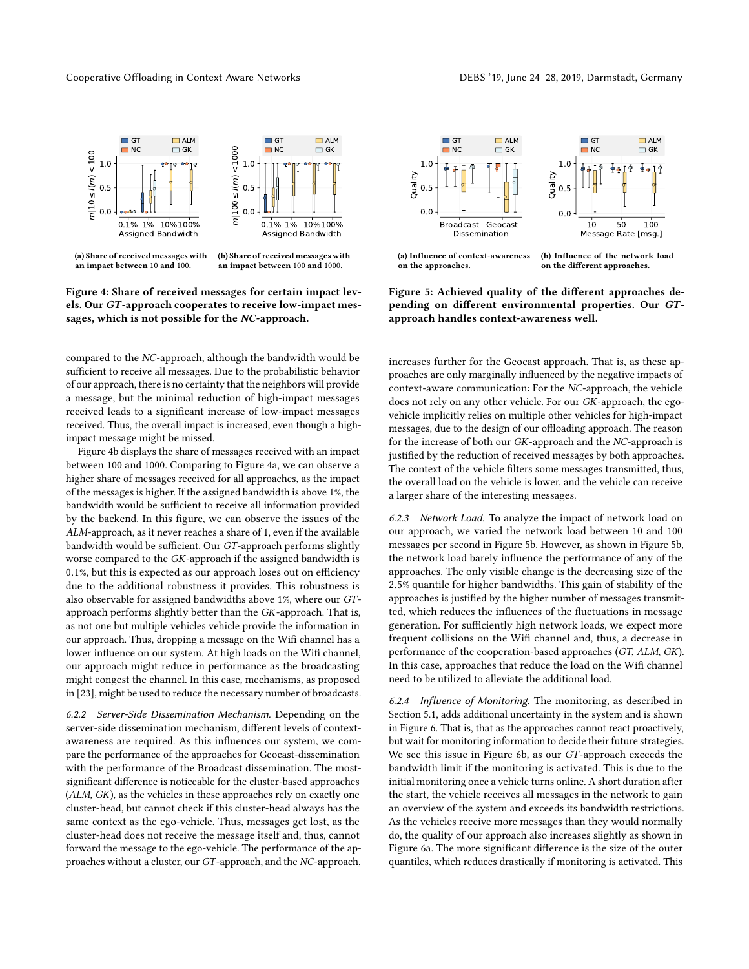#### <span id="page-10-1"></span><span id="page-10-0"></span>Cooperative Offloading in Context-Aware Networks DEBS '19, June 24–28, 2019, Darmstadt, Germany



(a) Share of received messages with an impact between 10 and 100.

<span id="page-10-2"></span>(b) Share of received messages with an impact between 100 and 1000.

### Figure 4: Share of received messages for certain impact levels. Our GT-approach cooperates to receive low-impact messages, which is not possible for the NC-approach.

compared to the NC-approach, although the bandwidth would be sufficient to receive all messages. Due to the probabilistic behavior of our approach, there is no certainty that the neighbors will provide a message, but the minimal reduction of high-impact messages received leads to a significant increase of low-impact messages received. Thus, the overall impact is increased, even though a highimpact message might be missed.

[Figure 4b](#page-10-2) displays the share of messages received with an impact between 100 and 1000. Comparing to [Figure 4a,](#page-10-1) we can observe a higher share of messages received for all approaches, as the impact of the messages is higher. If the assigned bandwidth is above 1%, the bandwidth would be sufficient to receive all information provided by the backend. In this figure, we can observe the issues of the ALM-approach, as it never reaches a share of 1, even if the available bandwidth would be sufficient. Our GT-approach performs slightly worse compared to the GK-approach if the assigned bandwidth is <sup>0</sup>.1%, but this is expected as our approach loses out on efficiency due to the additional robustness it provides. This robustness is also observable for assigned bandwidths above 1%, where our GTapproach performs slightly better than the GK-approach. That is, as not one but multiple vehicles vehicle provide the information in our approach. Thus, dropping a message on the Wifi channel has a lower influence on our system. At high loads on the Wifi channel, our approach might reduce in performance as the broadcasting might congest the channel. In this case, mechanisms, as proposed in [\[23\]](#page-11-27), might be used to reduce the necessary number of broadcasts.

6.2.2 Server-Side Dissemination Mechanism. Depending on the server-side dissemination mechanism, different levels of contextawareness are required. As this influences our system, we compare the performance of the approaches for Geocast-dissemination with the performance of the Broadcast dissemination. The mostsignificant difference is noticeable for the cluster-based approaches (ALM, GK), as the vehicles in these approaches rely on exactly one cluster-head, but cannot check if this cluster-head always has the same context as the ego-vehicle. Thus, messages get lost, as the cluster-head does not receive the message itself and, thus, cannot forward the message to the ego-vehicle. The performance of the approaches without a cluster, our GT-approach, and the NC-approach,



<span id="page-10-3"></span>Figure 5: Achieved quality of the different approaches depending on different environmental properties. Our GTapproach handles context-awareness well.

increases further for the Geocast approach. That is, as these approaches are only marginally influenced by the negative impacts of context-aware communication: For the NC-approach, the vehicle does not rely on any other vehicle. For our GK-approach, the egovehicle implicitly relies on multiple other vehicles for high-impact messages, due to the design of our offloading approach. The reason for the increase of both our GK-approach and the NC-approach is justified by the reduction of received messages by both approaches. The context of the vehicle filters some messages transmitted, thus, the overall load on the vehicle is lower, and the vehicle can receive a larger share of the interesting messages.

6.2.3 Network Load. To analyze the impact of network load on our approach, we varied the network load between 10 and 100 messages per second in [Figure 5b.](#page-10-3) However, as shown in [Figure 5b,](#page-10-3) the network load barely influence the performance of any of the approaches. The only visible change is the decreasing size of the <sup>2</sup>.5% quantile for higher bandwidths. This gain of stability of the approaches is justified by the higher number of messages transmitted, which reduces the influences of the fluctuations in message generation. For sufficiently high network loads, we expect more frequent collisions on the Wifi channel and, thus, a decrease in performance of the cooperation-based approaches (GT, ALM, GK). In this case, approaches that reduce the load on the Wifi channel need to be utilized to alleviate the additional load.

6.2.4 Influence of Monitoring. The monitoring, as described in [Section 5.1,](#page-6-1) adds additional uncertainty in the system and is shown in [Figure 6.](#page-11-28) That is, that as the approaches cannot react proactively, but wait for monitoring information to decide their future strategies. We see this issue in [Figure 6b,](#page-11-29) as our GT-approach exceeds the bandwidth limit if the monitoring is activated. This is due to the initial monitoring once a vehicle turns online. A short duration after the start, the vehicle receives all messages in the network to gain an overview of the system and exceeds its bandwidth restrictions. As the vehicles receive more messages than they would normally do, the quality of our approach also increases slightly as shown in [Figure 6a.](#page-11-30) The more significant difference is the size of the outer quantiles, which reduces drastically if monitoring is activated. This